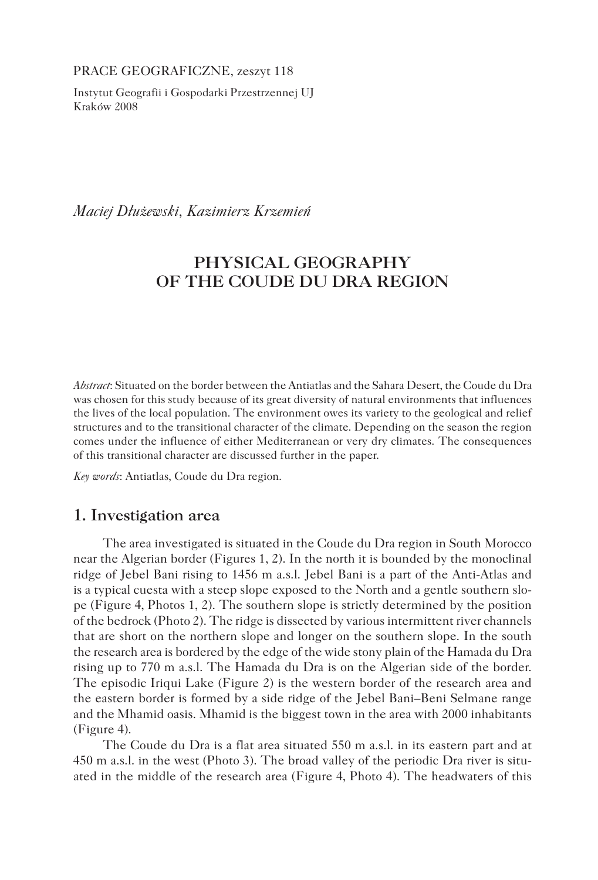PRACE GEOGRAFICZNE, zeszyt 118

Instytut Geografii i Gospodarki Przestrzennej UJ Kraków 2008

*Maciej Dłużewski, Kazimierz Krzemień*

# **PHYSICAL GEOGRAPHY OF THE COUDE DU DRA REGION**

*Abstract*: Situated on the border between the Antiatlas and the Sahara Desert, the Coude du Dra was chosen for this study because of its great diversity of natural environments that influences the lives of the local population. The environment owes its variety to the geological and relief structures and to the transitional character of the climate. Depending on the season the region comes under the influence of either Mediterranean or very dry climates. The consequences of this transitional character are discussed further in the paper.

*Key words*: Antiatlas, Coude du Dra region.

# **1. Investigation area**

The area investigated is situated in the Coude du Dra region in South Morocco near the Algerian border (Figures 1, 2). In the north it is bounded by the monoclinal ridge of Jebel Bani rising to 1456 m a.s.l. Jebel Bani is a part of the Anti-Atlas and is a typical cuesta with a steep slope exposed to the North and a gentle southern slope (Figure 4, Photos 1, 2). The southern slope is strictly determined by the position of the bedrock (Photo 2). The ridge is dissected by various intermittent river channels that are short on the northern slope and longer on the southern slope. In the south the research area is bordered by the edge of the wide stony plain of the Hamada du Dra rising up to 770 m a.s.l. The Hamada du Dra is on the Algerian side of the border. The episodic Iriqui Lake (Figure 2) is the western border of the research area and the eastern border is formed by a side ridge of the Jebel Bani–Beni Selmane range and the Mhamid oasis. Mhamid is the biggest town in the area with 2000 inhabitants (Figure 4).

The Coude du Dra is a flat area situated 550 m a.s.l. in its eastern part and at 450 m a.s.l. in the west (Photo 3). The broad valley of the periodic Dra river is situated in the middle of the research area (Figure 4, Photo 4). The headwaters of this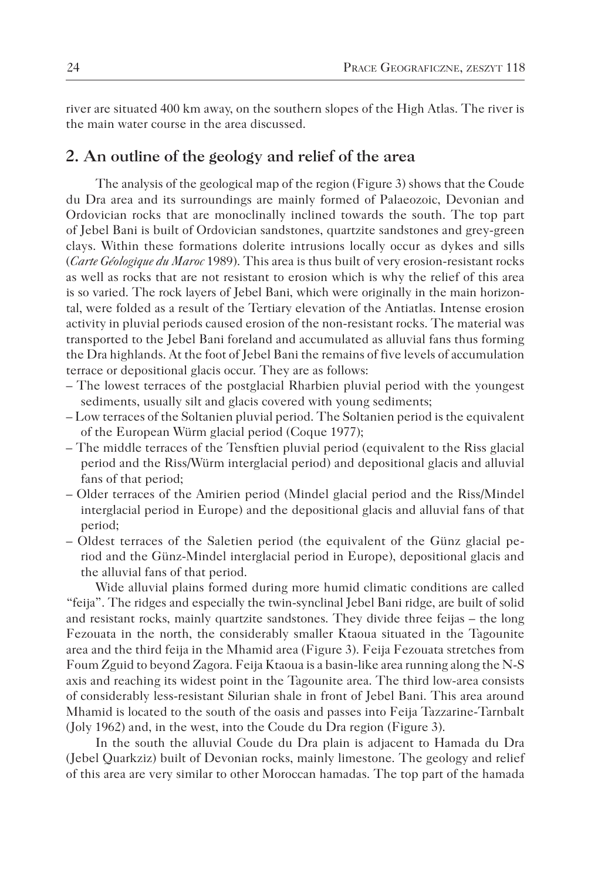river are situated 400 km away, on the southern slopes of the High Atlas. The river is the main water course in the area discussed.

# **2. An outline of the geology and relief of the area**

The analysis of the geological map of the region (Figure 3) shows that the Coude du Dra area and its surroundings are mainly formed of Palaeozoic, Devonian and Ordovician rocks that are monoclinally inclined towards the south. The top part of Jebel Bani is built of Ordovician sandstones, quartzite sandstones and grey-green clays. Within these formations dolerite intrusions locally occur as dykes and sills (*Carte Géologique du Maroc* 1989). This area is thus built of very erosion-resistant rocks as well as rocks that are not resistant to erosion which is why the relief of this area is so varied. The rock layers of Jebel Bani, which were originally in the main horizontal, were folded as a result of the Tertiary elevation of the Antiatlas. Intense erosion activity in pluvial periods caused erosion of the non-resistant rocks. The material was transported to the Jebel Bani foreland and accumulated as alluvial fans thus forming the Dra highlands. At the foot of Jebel Bani the remains of five levels of accumulation terrace or depositional glacis occur. They are as follows:

- The lowest terraces of the postglacial Rharbien pluvial period with the youngest sediments, usually silt and glacis covered with young sediments;
- Low terraces of the Soltanien pluvial period. The Soltanien period is the equivalent of the European Würm glacial period (Coque 1977);
- The middle terraces of the Tensftien pluvial period (equivalent to the Riss glacial period and the Riss/Würm interglacial period) and depositional glacis and alluvial fans of that period;
- Older terraces of the Amirien period (Mindel glacial period and the Riss/Mindel interglacial period in Europe) and the depositional glacis and alluvial fans of that period;
- Oldest terraces of the Saletien period (the equivalent of the Günz glacial period and the Günz-Mindel interglacial period in Europe), depositional glacis and the alluvial fans of that period.

Wide alluvial plains formed during more humid climatic conditions are called "feija". The ridges and especially the twin-synclinal Jebel Bani ridge, are built of solid and resistant rocks, mainly quartzite sandstones. They divide three feijas – the long Fezouata in the north, the considerably smaller Ktaoua situated in the Tagounite area and the third feija in the Mhamid area (Figure 3). Feija Fezouata stretches from Foum Zguid to beyond Zagora. Feija Ktaoua is a basin-like area running along the N-S axis and reaching its widest point in the Tagounite area. The third low-area consists of considerably less-resistant Silurian shale in front of Jebel Bani. This area around Mhamid is located to the south of the oasis and passes into Feija Tazzarine-Tarnbalt (Joly 1962) and, in the west, into the Coude du Dra region (Figure 3).

In the south the alluvial Coude du Dra plain is adjacent to Hamada du Dra (Jebel Quarkziz) built of Devonian rocks, mainly limestone. The geology and relief of this area are very similar to other Moroccan hamadas. The top part of the hamada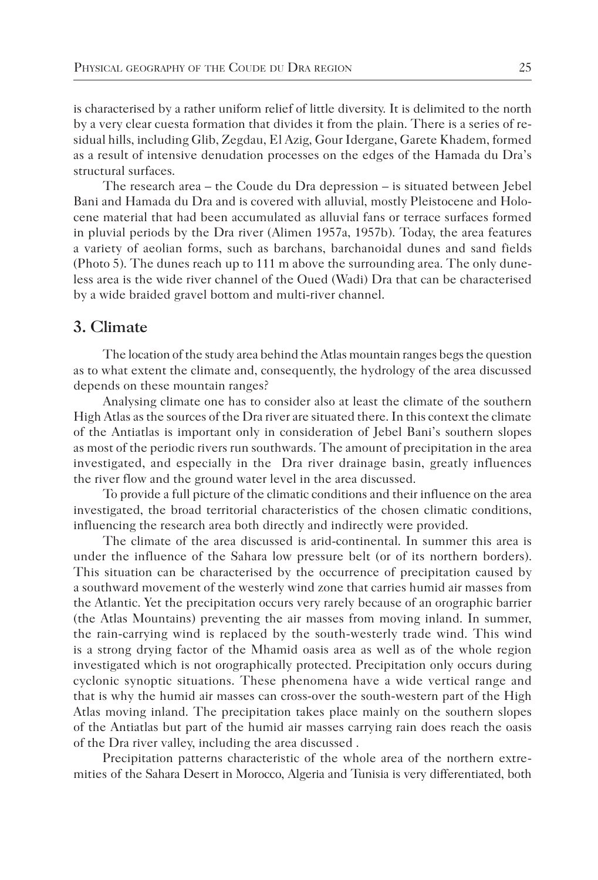is characterised by a rather uniform relief of little diversity. It is delimited to the north by a very clear cuesta formation that divides it from the plain. There is a series of residual hills, including Glib, Zegdau, El Azig, Gour Idergane, Garete Khadem, formed as a result of intensive denudation processes on the edges of the Hamada du Dra's structural surfaces.

The research area – the Coude du Dra depression – is situated between Jebel Bani and Hamada du Dra and is covered with alluvial, mostly Pleistocene and Holocene material that had been accumulated as alluvial fans or terrace surfaces formed in pluvial periods by the Dra river (Alimen 1957a, 1957b). Today, the area features a variety of aeolian forms, such as barchans, barchanoidal dunes and sand fields (Photo 5). The dunes reach up to 111 m above the surrounding area. The only duneless area is the wide river channel of the Oued (Wadi) Dra that can be characterised by a wide braided gravel bottom and multi-river channel.

#### **3. Climate**

The location of the study area behind the Atlas mountain ranges begs the question as to what extent the climate and, consequently, the hydrology of the area discussed depends on these mountain ranges?

Analysing climate one has to consider also at least the climate of the southern High Atlas as the sources of the Dra river are situated there. In this context the climate of the Antiatlas is important only in consideration of Jebel Bani's southern slopes as most of the periodic rivers run southwards. The amount of precipitation in the area investigated, and especially in the Dra river drainage basin, greatly influences the river flow and the ground water level in the area discussed.

To provide a full picture of the climatic conditions and their influence on the area investigated, the broad territorial characteristics of the chosen climatic conditions, influencing the research area both directly and indirectly were provided.

The climate of the area discussed is arid-continental. In summer this area is under the influence of the Sahara low pressure belt (or of its northern borders). This situation can be characterised by the occurrence of precipitation caused by a southward movement of the westerly wind zone that carries humid air masses from the Atlantic. Yet the precipitation occurs very rarely because of an orographic barrier (the Atlas Mountains) preventing the air masses from moving inland. In summer, the rain-carrying wind is replaced by the south-westerly trade wind. This wind is a strong drying factor of the Mhamid oasis area as well as of the whole region investigated which is not orographically protected. Precipitation only occurs during cyclonic synoptic situations. These phenomena have a wide vertical range and that is why the humid air masses can cross-over the south-western part of the High Atlas moving inland. The precipitation takes place mainly on the southern slopes of the Antiatlas but part of the humid air masses carrying rain does reach the oasis of the Dra river valley, including the area discussed .

Precipitation patterns characteristic of the whole area of the northern extremities of the Sahara Desert in Morocco, Algeria and Tunisia is very differentiated, both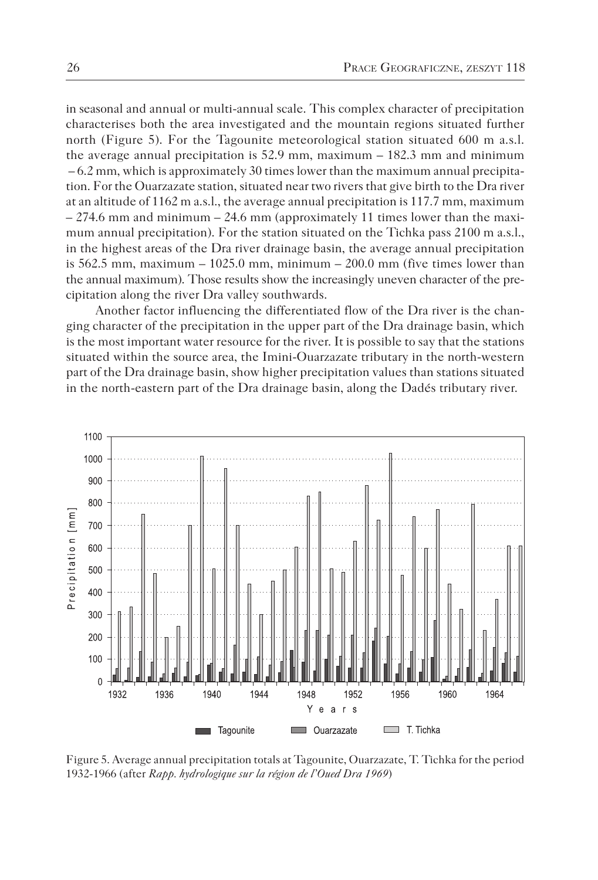in seasonal and annual or multi-annual scale. This complex character of precipitation characterises both the area investigated and the mountain regions situated further north (Figure 5). For the Tagounite meteorological station situated 600 m a.s.l. the average annual precipitation is  $52.9$  mm, maximum  $-182.3$  mm and minimum  $-6.2$  mm, which is approximately 30 times lower than the maximum annual precipitation. For the Ouarzazate station, situated near two rivers that give birth to the Dra river at an altitude of 1162 m a.s.l., the average annual precipitation is 117.7 mm, maximum  $-274.6$  mm and minimum  $-24.6$  mm (approximately 11 times lower than the maximum annual precipitation). For the station situated on the Tichka pass 2100 m a.s.l., in the highest areas of the Dra river drainage basin, the average annual precipitation is  $562.5$  mm, maximum  $-1025.0$  mm, minimum  $-200.0$  mm (five times lower than the annual maximum). Those results show the increasingly uneven character of the precipitation along the river Dra valley southwards.

Another factor influencing the differentiated flow of the Dra river is the changing character of the precipitation in the upper part of the Dra drainage basin, which is the most important water resource for the river. It is possible to say that the stations situated within the source area, the Imini-Ouarzazate tributary in the north-western part of the Dra drainage basin, show higher precipitation values than stations situated in the north-eastern part of the Dra drainage basin, along the Dadés tributary river.



Figure 5. Average annual precipitation totals at Tagounite, Ouarzazate, T. Tichka for the period 1932-1966 (after *Rapp. hydrologique sur la région de l'Oued Dra 1969*)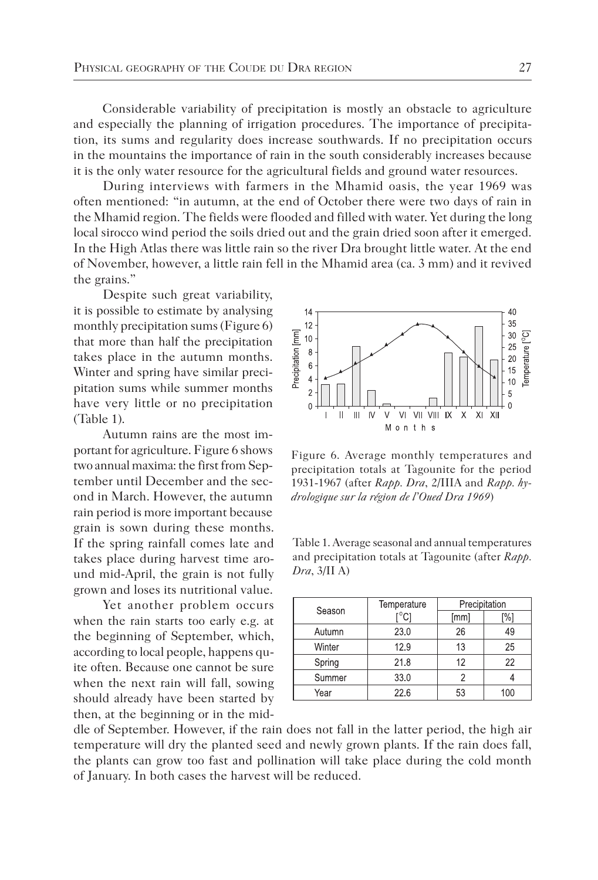Considerable variability of precipitation is mostly an obstacle to agriculture and especially the planning of irrigation procedures. The importance of precipitation, its sums and regularity does increase southwards. If no precipitation occurs in the mountains the importance of rain in the south considerably increases because it is the only water resource for the agricultural fields and ground water resources.

During interviews with farmers in the Mhamid oasis, the year 1969 was often mentioned: "in autumn, at the end of October there were two days of rain in the Mhamid region. The fields were flooded and filled with water. Yet during the long local sirocco wind period the soils dried out and the grain dried soon after it emerged. In the High Atlas there was little rain so the river Dra brought little water. At the end of November, however, a little rain fell in the Mhamid area (ca. 3 mm) and it revived the grains."

Despite such great variability, it is possible to estimate by analysing monthly precipitation sums (Figure 6) that more than half the precipitation takes place in the autumn months. Winter and spring have similar precipitation sums while summer months have very little or no precipitation (Table 1).

Autumn rains are the most important for agriculture. Figure 6 shows two annual maxima: the first from September until December and the second in March. However, the autumn rain period is more important because grain is sown during these months. If the spring rainfall comes late and takes place during harvest time around mid-April, the grain is not fully grown and loses its nutritional value.

Yet another problem occurs when the rain starts too early e.g. at the beginning of September, which, according to local people, happens quite often. Because one cannot be sure when the next rain will fall, sowing should already have been started by then, at the beginning or in the midFigure 6. Average monthly temperatures and precipitation totals at Tagounite for the period 1931-1967 (after *Rapp. Dra*, 2/IIIA and *Rapp. hydrologique sur la région de l'Oued Dra 1969*)

Table 1. Average seasonal and annual temperatures and precipitation totals at Tagounite (after *Rapp. Dra*, 3/II A)

| Season | Temperature | Precipitation |    |  |
|--------|-------------|---------------|----|--|
|        |             | [mm]          | %1 |  |
| Autumn | 230         | 26            | 49 |  |
| Winter | 12.9        | 13            | 25 |  |
| Spring | 218         | 12            | 22 |  |
| Summer | 330         |               |    |  |
| Year   | 226         | 53            |    |  |

dle of September. However, if the rain does not fall in the latter period, the high air temperature will dry the planted seed and newly grown plants. If the rain does fall, the plants can grow too fast and pollination will take place during the cold month of January. In both cases the harvest will be reduced.

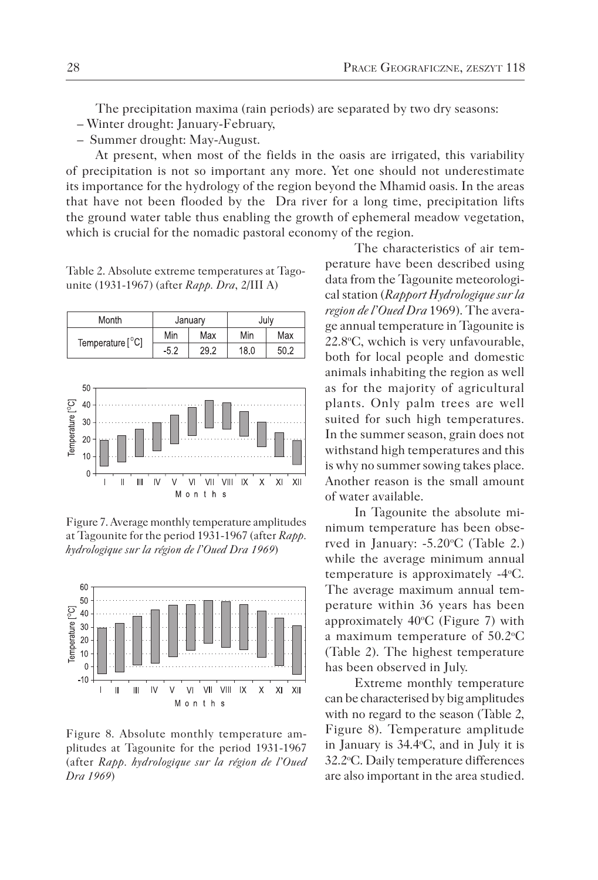The precipitation maxima (rain periods) are separated by two dry seasons:

- Winter drought: January-February,
- Summer drought: May-August.

At present, when most of the fields in the oasis are irrigated, this variability of precipitation is not so important any more. Yet one should not underestimate its importance for the hydrology of the region beyond the Mhamid oasis. In the areas that have not been flooded by the Dra river for a long time, precipitation lifts the ground water table thus enabling the growth of ephemeral meadow vegetation, which is crucial for the nomadic pastoral economy of the region.

Table 2. Absolute extreme temperatures at Tagounite (1931-1967) (after *Rapp. Dra*, 2/III A)

| Month            | January |      | July |      |
|------------------|---------|------|------|------|
| Temperature [°C] | Min     | Max  | Min  | Max  |
|                  | $-52$   | 29.2 | 18.0 | 50.2 |



Figure 7. Average monthly temperature amplitudes at Tagounite for the period 1931-1967 (after *Rapp. hydrologique sur la région de l'Oued Dra 1969*)



Figure 8. Absolute monthly temperature amplitudes at Tagounite for the period 1931-1967 (after *Rapp. hydrologique sur la région de l'Oued Dra 1969*)

The characteristics of air temperature have been described using data from the Tagounite meteorological station (*Rapport Hydrologique sur la region de l'Oued Dra* 1969). The average annual temperature in Tagounite is 22.8°C, wchich is very unfavourable, both for local people and domestic animals inhabiting the region as well as for the majority of agricultural plants. Only palm trees are well suited for such high temperatures. In the summer season, grain does not withstand high temperatures and this is why no summer sowing takes place. Another reason is the small amount of water available.

In Tagounite the absolute minimum temperature has been observed in January: -5.20 °C (Table 2.) while the average minimum annual temperature is approximately -4°C. The average maximum annual temperature within 36 years has been approximately  $40^{\circ}$ C (Figure 7) with a maximum temperature of 50.2 °C (Table 2). The highest temperature has been observed in July.

Extreme monthly temperature can be characterised by big amplitudes with no regard to the season (Table 2, Figure 8). Temperature amplitude in January is 34.4o C, and in July it is 32.2°C. Daily temperature differences are also important in the area studied.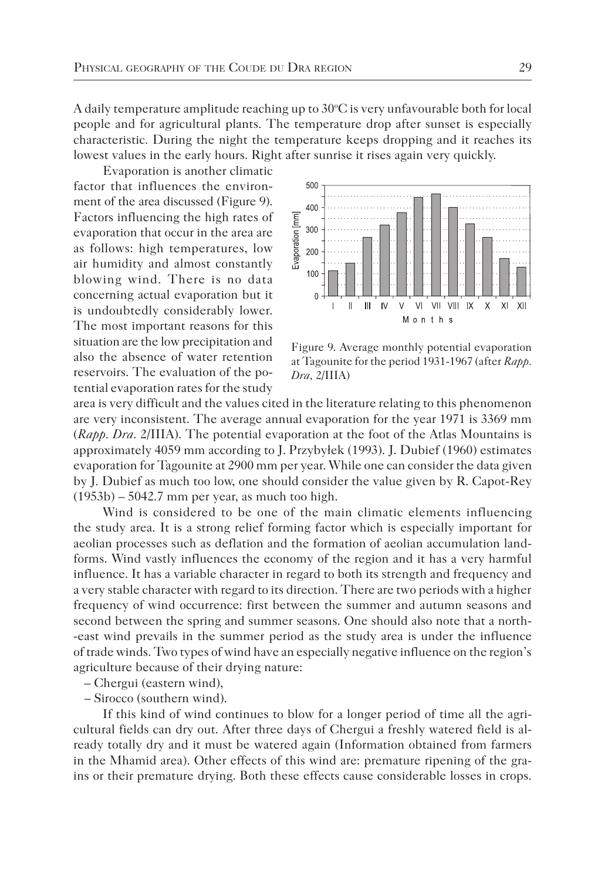A daily temperature amplitude reaching up to  $30^{\circ}$ C is very unfavourable both for local people and for agricultural plants. The temperature drop after sunset is especially characteristic. During the night the temperature keeps dropping and it reaches its lowest values in the early hours. Right after sunrise it rises again very quickly.

Evaporation is another climatic factor that influences the environment of the area discussed (Figure 9). Factors influencing the high rates of evaporation that occur in the area are as follows: high temperatures, low air humidity and almost constantly blowing wind. There is no data concerning actual evaporation but it is undoubtedly considerably lower. The most important reasons for this situation are the low precipitation and also the absence of water retention reservoirs. The evaluation of the potential evaporation rates for the study



Figure 9. Average monthly potential evaporation at Tagounite for the period 1931-1967 (after *Rapp. Dra*, 2/IIIA)

area is very difficult and the values cited in the literature relating to this phenomenon are very inconsistent. The average annual evaporation for the year 1971 is 3369 mm (*Rapp. Dra*. 2/IIIA). The potential evaporation at the foot of the Atlas Mountains is approximately 4059 mm according to J. Przybyłek (1993). J. Dubief (1960) estimates evaporation for Tagounite at 2900 mm per year. While one can consider the data given by J. Dubief as much too low, one should consider the value given by R. Capot-Rey (1953b) – 5042.7 mm per year, as much too high.

Wind is considered to be one of the main climatic elements influencing the study area. It is a strong relief forming factor which is especially important for aeolian processes such as deflation and the formation of aeolian accumulation landforms. Wind vastly influences the economy of the region and it has a very harmful influence. It has a variable character in regard to both its strength and frequency and a very stable character with regard to its direction. There are two periods with a higher frequency of wind occurrence: first between the summer and autumn seasons and second between the spring and summer seasons. One should also note that a north- -east wind prevails in the summer period as the study area is under the influence of trade winds. Two types of wind have an especially negative influence on the region's agriculture because of their drying nature:

– Chergui (eastern wind),

– Sirocco (southern wind).

If this kind of wind continues to blow for a longer period of time all the agricultural fields can dry out. After three days of Chergui a freshly watered field is already totally dry and it must be watered again (Information obtained from farmers in the Mhamid area). Other effects of this wind are: premature ripening of the grains or their premature drying. Both these effects cause considerable losses in crops.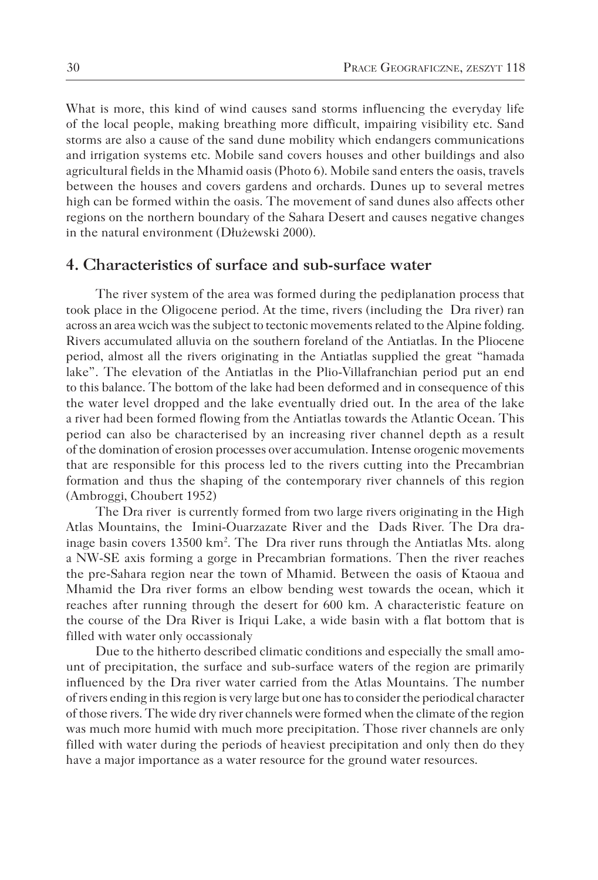What is more, this kind of wind causes sand storms influencing the everyday life of the local people, making breathing more difficult, impairing visibility etc. Sand storms are also a cause of the sand dune mobility which endangers communications and irrigation systems etc. Mobile sand covers houses and other buildings and also agricultural fields in the Mhamid oasis (Photo 6). Mobile sand enters the oasis, travels between the houses and covers gardens and orchards. Dunes up to several metres high can be formed within the oasis. The movement of sand dunes also affects other regions on the northern boundary of the Sahara Desert and causes negative changes in the natural environment (Dłużewski 2000).

#### **4. Characteristics of surface and sub-surface water**

The river system of the area was formed during the pediplanation process that took place in the Oligocene period. At the time, rivers (including the Dra river) ran across an area wcich was the subject to tectonic movements related to the Alpine folding. Rivers accumulated alluvia on the southern foreland of the Antiatlas. In the Pliocene period, almost all the rivers originating in the Antiatlas supplied the great "hamada lake". The elevation of the Antiatlas in the Plio-Villafranchian period put an end to this balance. The bottom of the lake had been deformed and in consequence of this the water level dropped and the lake eventually dried out. In the area of the lake a river had been formed flowing from the Antiatlas towards the Atlantic Ocean. This period can also be characterised by an increasing river channel depth as a result of the domination of erosion processes over accumulation. Intense orogenic movements that are responsible for this process led to the rivers cutting into the Precambrian formation and thus the shaping of the contemporary river channels of this region (Ambroggi, Choubert 1952)

The Dra river is currently formed from two large rivers originating in the High Atlas Mountains, the Imini-Ouarzazate River and the Dads River. The Dra drainage basin covers 13500 km<sup>2</sup>. The Dra river runs through the Antiatlas Mts. along a NW-SE axis forming a gorge in Precambrian formations. Then the river reaches the pre-Sahara region near the town of Mhamid. Between the oasis of Ktaoua and Mhamid the Dra river forms an elbow bending west towards the ocean, which it reaches after running through the desert for 600 km. A characteristic feature on the course of the Dra River is Iriqui Lake, a wide basin with a flat bottom that is filled with water only occassionaly

Due to the hitherto described climatic conditions and especially the small amount of precipitation, the surface and sub-surface waters of the region are primarily influenced by the Dra river water carried from the Atlas Mountains. The number of rivers ending in this region is very large but one has to consider the periodical character of those rivers. The wide dry river channels were formed when the climate of the region was much more humid with much more precipitation. Those river channels are only filled with water during the periods of heaviest precipitation and only then do they have a major importance as a water resource for the ground water resources.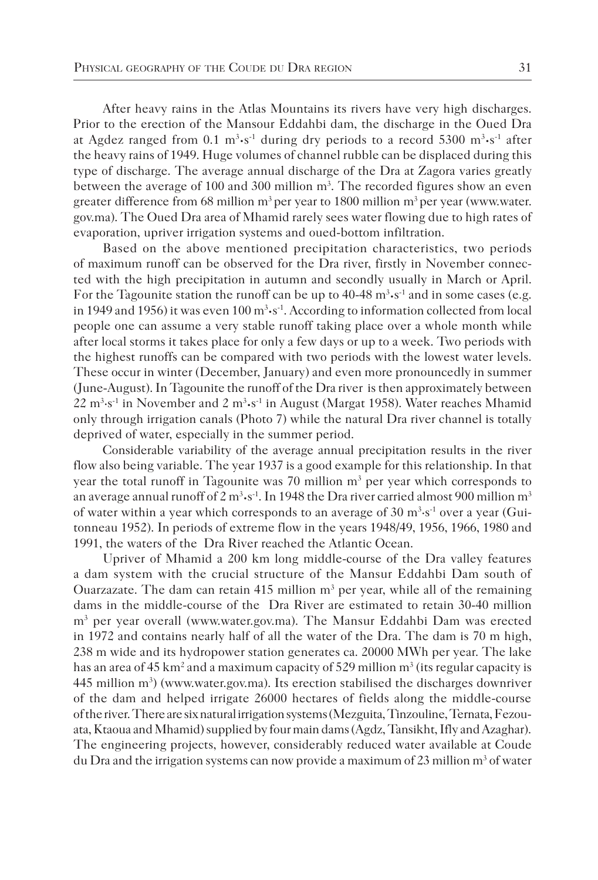After heavy rains in the Atlas Mountains its rivers have very high discharges. Prior to the erection of the Mansour Eddahbi dam, the discharge in the Oued Dra at Agdez ranged from 0.1 m3 **·**s-1 during dry periods to a record 5300 m3 **·**s-1 after the heavy rains of 1949. Huge volumes of channel rubble can be displaced during this type of discharge. The average annual discharge of the Dra at Zagora varies greatly between the average of 100 and 300 million m<sup>3</sup>. The recorded figures show an even greater difference from 68 million  $m<sup>3</sup>$  per year to 1800 million  $m<sup>3</sup>$  per year (www.water. gov.ma). The Oued Dra area of Mhamid rarely sees water flowing due to high rates of evaporation, upriver irrigation systems and oued-bottom infiltration.

Based on the above mentioned precipitation characteristics, two periods of maximum runoff can be observed for the Dra river, firstly in November connected with the high precipitation in autumn and secondly usually in March or April. For the Tagounite station the runoff can be up to 40-48 m<sup>3</sup>·s<sup>-1</sup> and in some cases (e.g. in 1949 and 1956) it was even 100 m3 **·**s-1. According to information collected from local people one can assume a very stable runoff taking place over a whole month while after local storms it takes place for only a few days or up to a week. Two periods with the highest runoffs can be compared with two periods with the lowest water levels. These occur in winter (December, January) and even more pronouncedly in summer (June-August). In Tagounite the runoff of the Dra river is then approximately between 22 m3 ·s-1 in November and 2 m3 **·**s-1 in August (Margat 1958). Water reaches Mhamid only through irrigation canals (Photo 7) while the natural Dra river channel is totally deprived of water, especially in the summer period.

Considerable variability of the average annual precipitation results in the river flow also being variable. The year 1937 is a good example for this relationship. In that year the total runoff in Tagounite was 70 million  $m<sup>3</sup>$  per year which corresponds to an average annual runoff of 2 m<sup>3</sup>·s<sup>-1</sup>. In 1948 the Dra river carried almost 900 million m<sup>3</sup> of water within a year which corresponds to an average of 30  $\mathrm{m}^3$  s<sup>-1</sup> over a year (Guitonneau 1952). In periods of extreme flow in the years 1948/49, 1956, 1966, 1980 and 1991, the waters of the Dra River reached the Atlantic Ocean.

Upriver of Mhamid a 200 km long middle-course of the Dra valley features a dam system with the crucial structure of the Mansur Eddahbi Dam south of Ouarzazate. The dam can retain 415 million  $m<sup>3</sup>$  per year, while all of the remaining dams in the middle-course of the Dra River are estimated to retain 30-40 million m3 per year overall (www.water.gov.ma). The Mansur Eddahbi Dam was erected in 1972 and contains nearly half of all the water of the Dra. The dam is 70 m high, 238 m wide and its hydropower station generates ca. 20000 MWh per year. The lake has an area of 45 km<sup>2</sup> and a maximum capacity of 529 million  $m<sup>3</sup>$  (its regular capacity is  $445$  million m<sup>3</sup>) (www.water.gov.ma). Its erection stabilised the discharges downriver of the dam and helped irrigate 26000 hectares of fields along the middle-course of the river. There are six natural irrigation systems (Mezguita, Tinzouline, Ternata, Fezouata, Ktaoua and Mhamid) supplied by four main dams (Agdz, Tansikht, Ifly and Azaghar). The engineering projects, however, considerably reduced water available at Coude du Dra and the irrigation systems can now provide a maximum of 23 million  $m<sup>3</sup>$  of water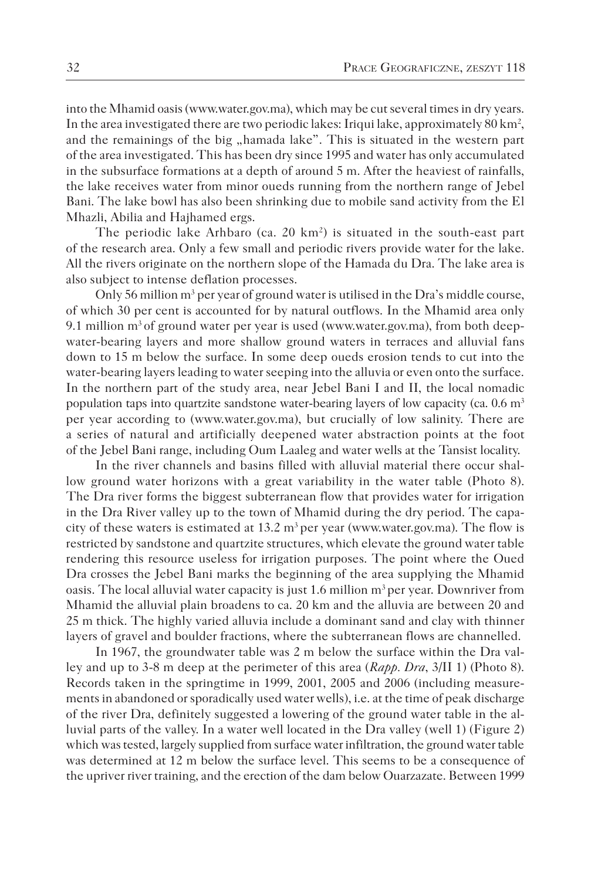into the Mhamid oasis (www.water.gov.ma), which may be cut several times in dry years. In the area investigated there are two periodic lakes: Iriqui lake, approximately 80 km<sup>2</sup>, and the remainings of the big "hamada lake". This is situated in the western part of the area investigated. This has been dry since 1995 and water has only accumulated in the subsurface formations at a depth of around 5 m. After the heaviest of rainfalls, the lake receives water from minor oueds running from the northern range of Jebel Bani. The lake bowl has also been shrinking due to mobile sand activity from the El Mhazli, Abilia and Hajhamed ergs.

The periodic lake Arhbaro (ca.  $20 \text{ km}^2$ ) is situated in the south-east part of the research area. Only a few small and periodic rivers provide water for the lake. All the rivers originate on the northern slope of the Hamada du Dra. The lake area is also subject to intense deflation processes.

Only 56 million m<sup>3</sup> per year of ground water is utilised in the Dra's middle course, of which 30 per cent is accounted for by natural outflows. In the Mhamid area only 9.1 million  $m<sup>3</sup>$  of ground water per year is used (www.water.gov.ma), from both deepwater-bearing layers and more shallow ground waters in terraces and alluvial fans down to 15 m below the surface. In some deep oueds erosion tends to cut into the water-bearing layers leading to water seeping into the alluvia or even onto the surface. In the northern part of the study area, near Jebel Bani I and II, the local nomadic population taps into quartzite sandstone water-bearing layers of low capacity (ca.  $0.6 \text{ m}^3$ ) per year according to (www.water.gov.ma), but crucially of low salinity. There are a series of natural and artificially deepened water abstraction points at the foot of the Jebel Bani range, including Oum Laaleg and water wells at the Tansist locality.

In the river channels and basins filled with alluvial material there occur shallow ground water horizons with a great variability in the water table (Photo 8). The Dra river forms the biggest subterranean flow that provides water for irrigation in the Dra River valley up to the town of Mhamid during the dry period. The capacity of these waters is estimated at  $13.2 \text{ m}^3$  per year (www.water.gov.ma). The flow is restricted by sandstone and quartzite structures, which elevate the ground water table rendering this resource useless for irrigation purposes. The point where the Oued Dra crosses the Jebel Bani marks the beginning of the area supplying the Mhamid oasis. The local alluvial water capacity is just 1.6 million  $m<sup>3</sup>$  per year. Downriver from Mhamid the alluvial plain broadens to ca. 20 km and the alluvia are between 20 and 25 m thick. The highly varied alluvia include a dominant sand and clay with thinner layers of gravel and boulder fractions, where the subterranean flows are channelled.

In 1967, the groundwater table was 2 m below the surface within the Dra valley and up to 3-8 m deep at the perimeter of this area (*Rapp. Dra*, 3/II 1) (Photo 8). Records taken in the springtime in 1999, 2001, 2005 and 2006 (including measurements in abandoned or sporadically used water wells), i.e. at the time of peak discharge of the river Dra, definitely suggested a lowering of the ground water table in the alluvial parts of the valley. In a water well located in the Dra valley (well 1) (Figure 2) which was tested, largely supplied from surface water infiltration, the ground water table was determined at 12 m below the surface level. This seems to be a consequence of the upriver river training, and the erection of the dam below Ouarzazate. Between 1999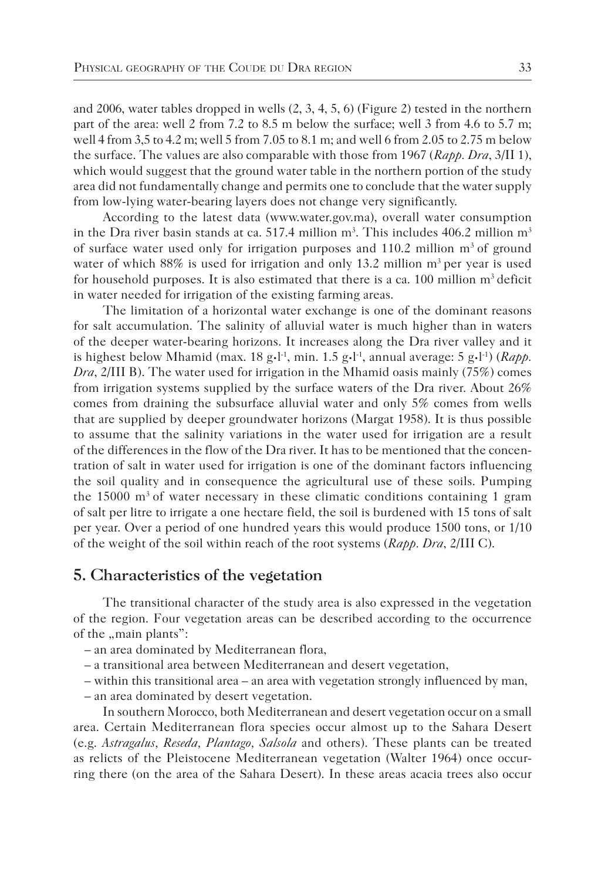and 2006, water tables dropped in wells (2, 3, 4, 5, 6) (Figure 2) tested in the northern part of the area: well 2 from 7.2 to 8.5 m below the surface; well 3 from 4.6 to 5.7 m; well 4 from 3,5 to 4.2 m; well 5 from 7.05 to 8.1 m; and well 6 from 2.05 to 2.75 m below the surface. The values are also comparable with those from 1967 (*Rapp. Dra*, 3/II 1), which would suggest that the ground water table in the northern portion of the study area did not fundamentally change and permits one to conclude that the water supply from low-lying water-bearing layers does not change very significantly.

According to the latest data (www.water.gov.ma), overall water consumption in the Dra river basin stands at ca. 517.4 million  $m^3$ . This includes 406.2 million  $m^3$ of surface water used only for irrigation purposes and  $110.2$  million  $m<sup>3</sup>$  of ground water of which  $88\%$  is used for irrigation and only 13.2 million  $m<sup>3</sup>$  per year is used for household purposes. It is also estimated that there is a ca. 100 million  $m<sup>3</sup>$  deficit in water needed for irrigation of the existing farming areas.

The limitation of a horizontal water exchange is one of the dominant reasons for salt accumulation. The salinity of alluvial water is much higher than in waters of the deeper water-bearing horizons. It increases along the Dra river valley and it is highest below Mhamid (max. 18 g·l<sup>-1</sup>, min. 1.5 g·l<sup>-1</sup>, annual average: 5 g·l<sup>-1</sup>) (*Rapp*. *Dra*, 2/III B). The water used for irrigation in the Mhamid oasis mainly (75%) comes from irrigation systems supplied by the surface waters of the Dra river. About 26% comes from draining the subsurface alluvial water and only 5% comes from wells that are supplied by deeper groundwater horizons (Margat 1958). It is thus possible to assume that the salinity variations in the water used for irrigation are a result of the differences in the flow of the Dra river. It has to be mentioned that the concentration of salt in water used for irrigation is one of the dominant factors influencing the soil quality and in consequence the agricultural use of these soils. Pumping the 15000  $\text{m}^3$  of water necessary in these climatic conditions containing 1 gram of salt per litre to irrigate a one hectare field, the soil is burdened with 15 tons of salt per year. Over a period of one hundred years this would produce 1500 tons, or 1/10 of the weight of the soil within reach of the root systems (*Rapp. Dra*, 2/III C).

# **5. Characteristics of the vegetation**

The transitional character of the study area is also expressed in the vegetation of the region. Four vegetation areas can be described according to the occurrence of the "main plants":

- an area dominated by Mediterranean flora,
- a transitional area between Mediterranean and desert vegetation,
- within this transitional area an area with vegetation strongly influenced by man,

– an area dominated by desert vegetation.

In southern Morocco, both Mediterranean and desert vegetation occur on a small area. Certain Mediterranean flora species occur almost up to the Sahara Desert (e.g. *Astragalus, Reseda, Plantago, Salsola* and others). These plants can be treated as relicts of the Pleistocene Mediterranean vegetation (Walter 1964) once occurring there (on the area of the Sahara Desert). In these areas acacia trees also occur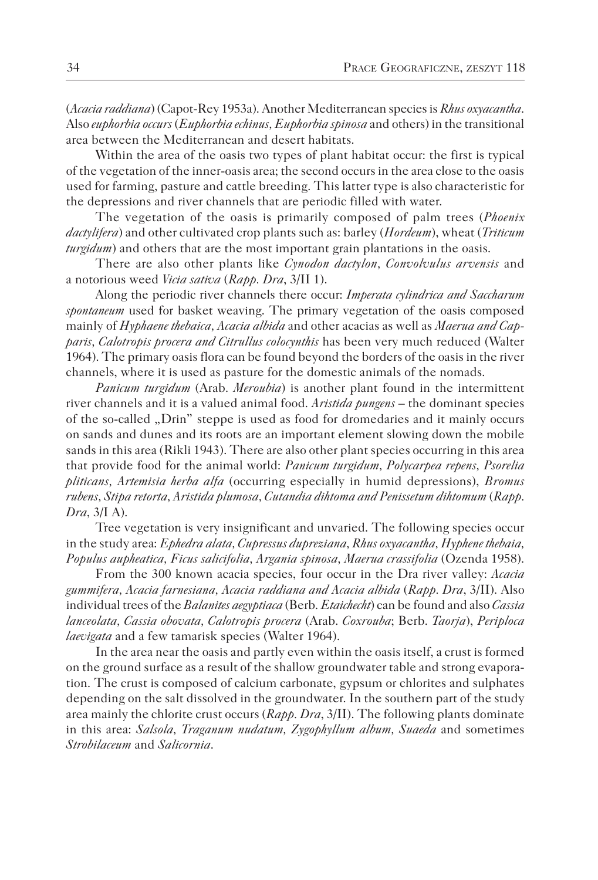(*Acacia raddiana*) (Capot-Rey 1953a). Another Mediterranean species is *Rhus oxyacantha*. Also *euphorbia occurs* (*Euphorbia echinus, Euphorbia spinosa* and others) in the transitional area between the Mediterranean and desert habitats.

Within the area of the oasis two types of plant habitat occur: the first is typical of the vegetation of the inner-oasis area; the second occurs in the area close to the oasis used for farming, pasture and cattle breeding. This latter type is also characteristic for the depressions and river channels that are periodic filled with water.

The vegetation of the oasis is primarily composed of palm trees (*Phoenix dactylifera*) and other cultivated crop plants such as: barley (*Hordeum*), wheat (*Triticum turgidum*) and others that are the most important grain plantations in the oasis.

There are also other plants like *Cynodon dactylon, Convolvulus arvensis* and a notorious weed *Vicia sativa* (*Rapp. Dra*, 3/II 1).

Along the periodic river channels there occur: *Imperata cylindrica and Saccharum spontaneum* used for basket weaving. The primary vegetation of the oasis composed mainly of *Hyphaene thebaica, Acacia albida* and other acacias as well as *Maerua and Capparis, Calotropis procera and Citrullus colocynthis* has been very much reduced (Walter 1964). The primary oasis flora can be found beyond the borders of the oasis in the river channels, where it is used as pasture for the domestic animals of the nomads.

*Panicum turgidum* (Arab. *Meroubia*) is another plant found in the intermittent river channels and it is a valued animal food. *Aristida pungens* – the dominant species of the so-called "Drin" steppe is used as food for dromedaries and it mainly occurs on sands and dunes and its roots are an important element slowing down the mobile sands in this area (Rikli 1943). There are also other plant species occurring in this area that provide food for the animal world: *Panicum turgidum, Polycarpea repens, Psorelia pliticans, Artemisia herba alfa* (occurring especially in humid depressions), *Bromus rubens, Stipa retorta, Aristida plumosa, Cutandia dihtoma and Penissetum dihtomum* (*Rapp. Dra*, 3/I A).

Tree vegetation is very insignificant and unvaried. The following species occur in the study area: *Ephedra alata, Cupressus dupreziana, Rhus oxyacantha, Hyphene thebaia, Populus aupheatica, Ficus salicifolia, Argania spinosa, Maerua crassifolia* (Ozenda 1958).

From the 300 known acacia species, four occur in the Dra river valley: *Acacia gummifera, Acacia farnesiana, Acacia raddiana and Acacia albida* (*Rapp. Dra*, 3/II). Also individual trees of the *Balanites aegyptiaca* (Berb. *Etaichecht*) can be found and also *Cassia lanceolata, Cassia obovata, Calotropis procera* (Arab. *Coxrouba*; Berb. *Taorja*), *Periploca laevigata* and a few tamarisk species (Walter 1964).

In the area near the oasis and partly even within the oasis itself, a crust is formed on the ground surface as a result of the shallow groundwater table and strong evaporation. The crust is composed of calcium carbonate, gypsum or chlorites and sulphates depending on the salt dissolved in the groundwater. In the southern part of the study area mainly the chlorite crust occurs (*Rapp. Dra*, 3/II). The following plants dominate in this area: *Salsola, Traganum nudatum, Zygophyllum album, Suaeda* and sometimes *Strobilaceum* and *Salicornia*.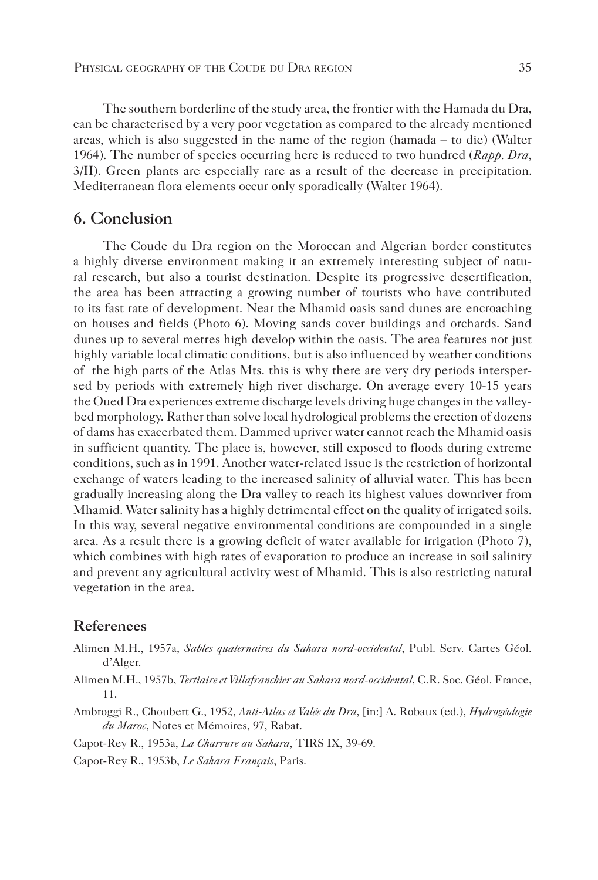The southern borderline of the study area, the frontier with the Hamada du Dra, can be characterised by a very poor vegetation as compared to the already mentioned areas, which is also suggested in the name of the region (hamada – to die) (Walter 1964). The number of species occurring here is reduced to two hundred (*Rapp. Dra*, 3/II). Green plants are especially rare as a result of the decrease in precipitation. Mediterranean flora elements occur only sporadically (Walter 1964).

# **6. Conclusion**

The Coude du Dra region on the Moroccan and Algerian border constitutes a highly diverse environment making it an extremely interesting subject of natural research, but also a tourist destination. Despite its progressive desertification, the area has been attracting a growing number of tourists who have contributed to its fast rate of development. Near the Mhamid oasis sand dunes are encroaching on houses and fields (Photo 6). Moving sands cover buildings and orchards. Sand dunes up to several metres high develop within the oasis. The area features not just highly variable local climatic conditions, but is also influenced by weather conditions of the high parts of the Atlas Mts. this is why there are very dry periods interspersed by periods with extremely high river discharge. On average every 10-15 years the Oued Dra experiences extreme discharge levels driving huge changes in the valleybed morphology. Rather than solve local hydrological problems the erection of dozens of dams has exacerbated them. Dammed upriver water cannot reach the Mhamid oasis in sufficient quantity. The place is, however, still exposed to floods during extreme conditions, such as in 1991. Another water-related issue is the restriction of horizontal exchange of waters leading to the increased salinity of alluvial water. This has been gradually increasing along the Dra valley to reach its highest values downriver from Mhamid. Water salinity has a highly detrimental effect on the quality of irrigated soils. In this way, several negative environmental conditions are compounded in a single area. As a result there is a growing deficit of water available for irrigation (Photo 7), which combines with high rates of evaporation to produce an increase in soil salinity and prevent any agricultural activity west of Mhamid. This is also restricting natural vegetation in the area.

# **References**

- Alimen M.H., 1957a, *Sables quaternaires du Sahara nord-occidental*, Publ. Serv. Cartes Géol. d'Alger.
- Alimen M.H., 1957b, *Tertiaire et Villafranchier au Sahara nord-occidental*, C.R. Soc. Géol. France, 11.
- Ambroggi R., Choubert G., 1952, *Anti-Atlas et Valée du Dra*, [in:] A. Robaux (ed.), *Hydrogéologie du Maroc*, Notes et Mémoires, 97, Rabat.

Capot-Rey R., 1953a, *La Charrure au Sahara*, TIRS IX, 39-69.

Capot-Rey R., 1953b, *Le Sahara Français*, Paris.